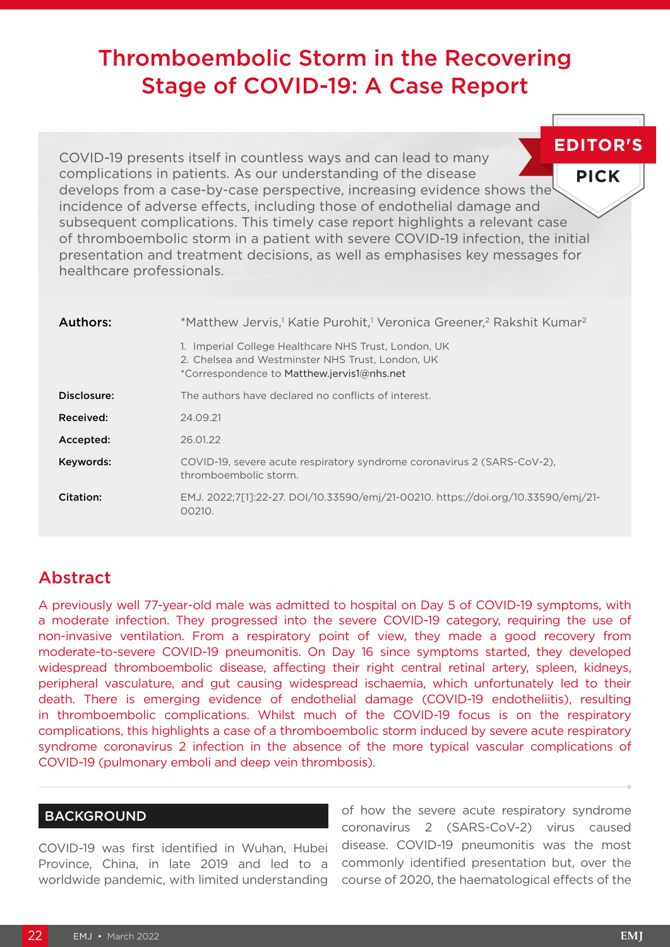# Thromboembolic Storm in the Recovering Stage of COVID-19: A Case Report

**EDITOR'S** COVID-19 presents itself in countless ways and can lead to many complications in patients. As our understanding of the disease **PICK** develops from a case-by-case perspective, increasing evidence shows the incidence of adverse effects, including those of endothelial damage and subsequent complications. This timely case report highlights a relevant case of thromboembolic storm in a patient with severe COVID-19 infection, the initial presentation and treatment decisions, as well as emphasises key messages for healthcare professionals.

| <b>Authors:</b> | *Matthew Jervis, <sup>1</sup> Katie Purohit, <sup>1</sup> Veronica Greener, <sup>2</sup> Rakshit Kumar <sup>2</sup>                                    |
|-----------------|--------------------------------------------------------------------------------------------------------------------------------------------------------|
|                 | 1. Imperial College Healthcare NHS Trust, London, UK<br>2. Chelsea and Westminster NHS Trust, London, UK<br>*Correspondence to Matthew.jervis1@nhs.net |
| Disclosure:     | The authors have declared no conflicts of interest.                                                                                                    |
| Received:       | 24.09.21                                                                                                                                               |
| Accepted:       | 26.01.22                                                                                                                                               |
| Keywords:       | COVID-19, severe acute respiratory syndrome coronavirus 2 (SARS-CoV-2).<br>thromboembolic storm.                                                       |
| Citation:       | EMJ. 2022;7[1]:22-27. DOI/10.33590/emj/21-00210. https://doi.org/10.33590/emj/21-<br>00210.                                                            |

## Abstract

A previously well 77-year-old male was admitted to hospital on Day 5 of COVID-19 symptoms, with a moderate infection. They progressed into the severe COVID-19 category, requiring the use of non-invasive ventilation. From a respiratory point of view, they made a good recovery from moderate-to-severe COVID-19 pneumonitis. On Day 16 since symptoms started, they developed widespread thromboembolic disease, affecting their right central retinal artery, spleen, kidneys, peripheral vasculature, and gut causing widespread ischaemia, which unfortunately led to their death. There is emerging evidence of endothelial damage (COVID-19 endotheliitis), resulting in thromboembolic complications. Whilst much of the COVID-19 focus is on the respiratory complications, this highlights a case of a thromboembolic storm induced by severe acute respiratory syndrome coronavirus 2 infection in the absence of the more typical vascular complications of COVID-19 (pulmonary emboli and deep vein thrombosis).

## BACKGROUND

COVID-19 was first identified in Wuhan, Hubei Province, China, in late 2019 and led to a worldwide pandemic, with limited understanding of how the severe acute respiratory syndrome coronavirus 2 (SARS-CoV-2) virus caused disease. COVID-19 pneumonitis was the most commonly identified presentation but, over the course of 2020, the haematological effects of the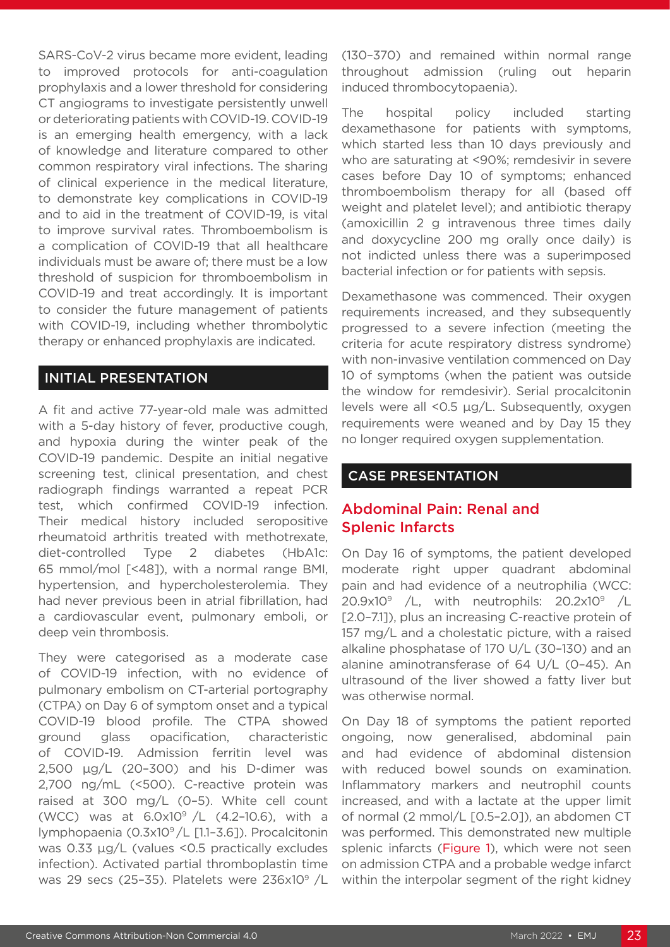SARS-CoV-2 virus became more evident, leading to improved protocols for anti-coagulation prophylaxis and a lower threshold for considering CT angiograms to investigate persistently unwell or deteriorating patients with COVID-19. COVID-19 is an emerging health emergency, with a lack of knowledge and literature compared to other common respiratory viral infections. The sharing of clinical experience in the medical literature, to demonstrate key complications in COVID-19 and to aid in the treatment of COVID-19, is vital to improve survival rates. Thromboembolism is a complication of COVID-19 that all healthcare individuals must be aware of; there must be a low threshold of suspicion for thromboembolism in COVID-19 and treat accordingly. It is important to consider the future management of patients with COVID-19, including whether thrombolytic therapy or enhanced prophylaxis are indicated.

#### INITIAL PRESENTATION

A fit and active 77-year-old male was admitted with a 5-day history of fever, productive cough, and hypoxia during the winter peak of the COVID-19 pandemic. Despite an initial negative screening test, clinical presentation, and chest radiograph findings warranted a repeat PCR test, which confirmed COVID-19 infection. Their medical history included seropositive rheumatoid arthritis treated with methotrexate, diet-controlled Type 2 diabetes (HbA1c: 65 mmol/mol [<48]), with a normal range BMI, hypertension, and hypercholesterolemia. They had never previous been in atrial fibrillation, had a cardiovascular event, pulmonary emboli, or deep vein thrombosis.

They were categorised as a moderate case of COVID-19 infection, with no evidence of pulmonary embolism on CT-arterial portography (CTPA) on Day 6 of symptom onset and a typical COVID-19 blood profile. The CTPA showed ground glass opacification, characteristic of COVID-19. Admission ferritin level was 2,500 μg/L (20–300) and his D-dimer was 2,700 ng/mL (<500). C-reactive protein was raised at 300 mg/L (0–5). White cell count (WCC) was at  $6.0x10^9$  /L (4.2-10.6), with a lymphopaenia (0.3x109 /L [1.1–3.6]). Procalcitonin was 0.33 μg/L (values <0.5 practically excludes infection). Activated partial thromboplastin time was 29 secs (25-35). Platelets were 236x10<sup>9</sup> /L

(130–370) and remained within normal range throughout admission (ruling out heparin induced thrombocytopaenia).

The hospital policy included starting dexamethasone for patients with symptoms, which started less than 10 days previously and who are saturating at <90%; remdesivir in severe cases before Day 10 of symptoms; enhanced thromboembolism therapy for all (based off weight and platelet level); and antibiotic therapy (amoxicillin 2 g intravenous three times daily and doxycycline 200 mg orally once daily) is not indicted unless there was a superimposed bacterial infection or for patients with sepsis.

Dexamethasone was commenced. Their oxygen requirements increased, and they subsequently progressed to a severe infection (meeting the criteria for acute respiratory distress syndrome) with non-invasive ventilation commenced on Day 10 of symptoms (when the patient was outside the window for remdesivir). Serial procalcitonin levels were all <0.5 μg/L. Subsequently, oxygen requirements were weaned and by Day 15 they no longer required oxygen supplementation.

## CASE PRESENTATION

## Abdominal Pain: Renal and Splenic Infarcts

On Day 16 of symptoms, the patient developed moderate right upper quadrant abdominal pain and had evidence of a neutrophilia (WCC:  $20.9x10^9$  /L, with neutrophils:  $20.2x10^9$  /L [2.0–7.1]), plus an increasing C-reactive protein of 157 mg/L and a cholestatic picture, with a raised alkaline phosphatase of 170 U/L (30–130) and an alanine aminotransferase of 64 U/L (0–45). An ultrasound of the liver showed a fatty liver but was otherwise normal.

On Day 18 of symptoms the patient reported ongoing, now generalised, abdominal pain and had evidence of abdominal distension with reduced bowel sounds on examination. Inflammatory markers and neutrophil counts increased, and with a lactate at the upper limit of normal (2 mmol/L [0.5–2.0]), an abdomen CT was performed. This demonstrated new multiple splenic infarcts (Figure 1), which were not seen on admission CTPA and a probable wedge infarct within the interpolar segment of the right kidney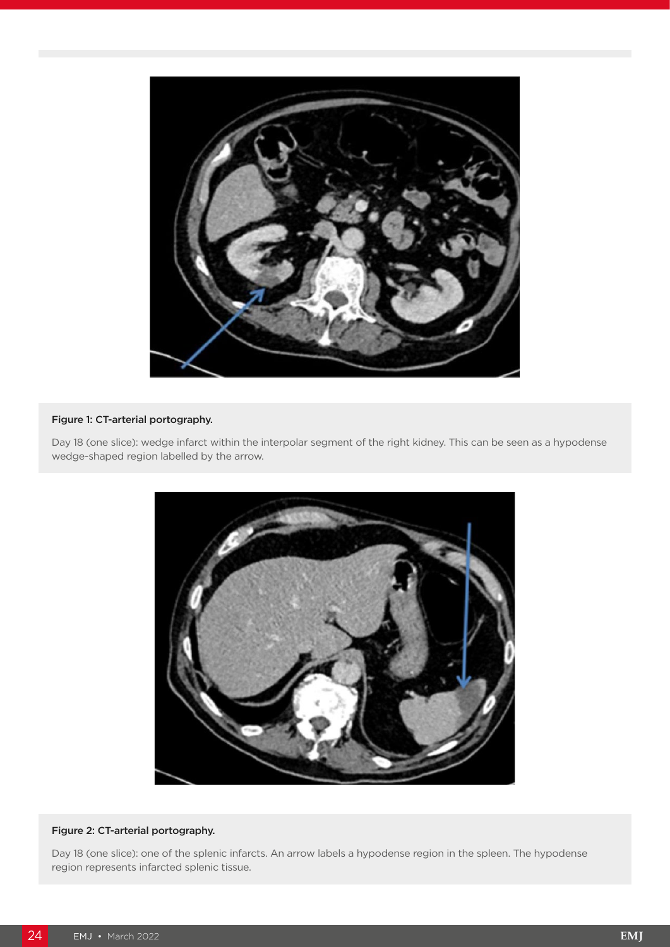

#### Figure 1: CT-arterial portography.

Day 18 (one slice): wedge infarct within the interpolar segment of the right kidney. This can be seen as a hypodense wedge-shaped region labelled by the arrow.



#### Figure 2: CT-arterial portography.

Day 18 (one slice): one of the splenic infarcts. An arrow labels a hypodense region in the spleen. The hypodense region represents infarcted splenic tissue.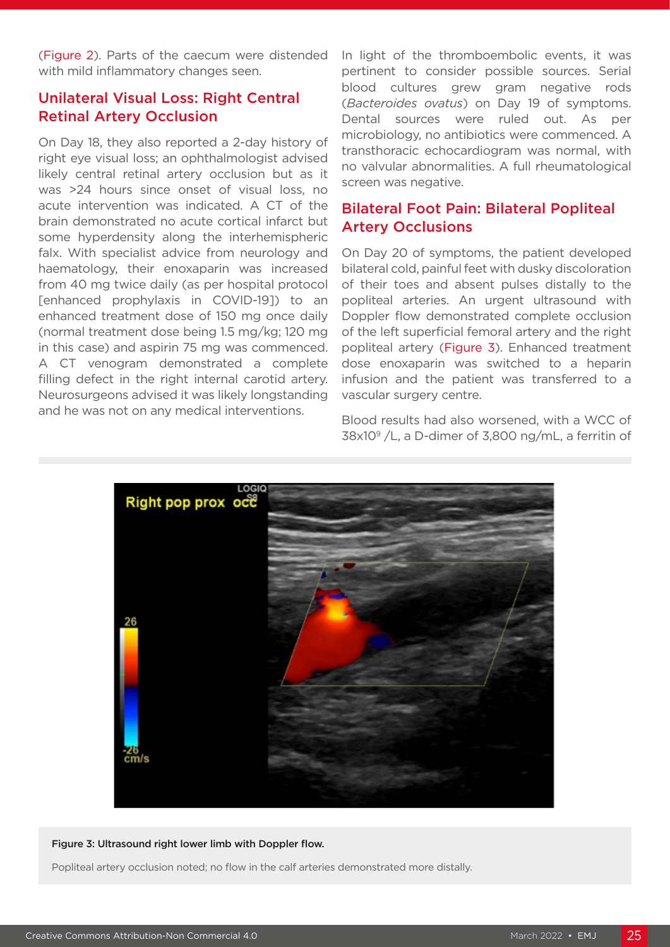(Figure 2). Parts of the caecum were distended with mild inflammatory changes seen.

## Unilateral Visual Loss: Right Central Retinal Artery Occlusion

On Day 18, they also reported a 2-day history of right eye visual loss; an ophthalmologist advised likely central retinal artery occlusion but as it was >24 hours since onset of visual loss, no acute intervention was indicated. A CT of the brain demonstrated no acute cortical infarct but some hyperdensity along the interhemispheric falx. With specialist advice from neurology and haematology, their enoxaparin was increased from 40 mg twice daily (as per hospital protocol [enhanced prophylaxis in COVID-19]) to an enhanced treatment dose of 150 mg once daily (normal treatment dose being 1.5 mg/kg; 120 mg in this case) and aspirin 75 mg was commenced. A CT venogram demonstrated a complete filling defect in the right internal carotid artery. Neurosurgeons advised it was likely longstanding and he was not on any medical interventions.

In light of the thromboembolic events, it was pertinent to consider possible sources. Serial blood cultures grew gram negative rods (*Bacteroides ovatus*) on Day 19 of symptoms. Dental sources were ruled out. As per microbiology, no antibiotics were commenced. A transthoracic echocardiogram was normal, with no valvular abnormalities. A full rheumatological screen was negative.

## Bilateral Foot Pain: Bilateral Popliteal Artery Occlusions

On Day 20 of symptoms, the patient developed bilateral cold, painful feet with dusky discoloration of their toes and absent pulses distally to the popliteal arteries. An urgent ultrasound with Doppler flow demonstrated complete occlusion of the left superficial femoral artery and the right popliteal artery (Figure 3). Enhanced treatment dose enoxaparin was switched to a heparin infusion and the patient was transferred to a vascular surgery centre.

Blood results had also worsened, with a WCC of  $38x10^9$  /L, a D-dimer of 3,800 ng/mL, a ferritin of



#### Figure 3: Ultrasound right lower limb with Doppler flow.

Popliteal artery occlusion noted; no flow in the calf arteries demonstrated more distally.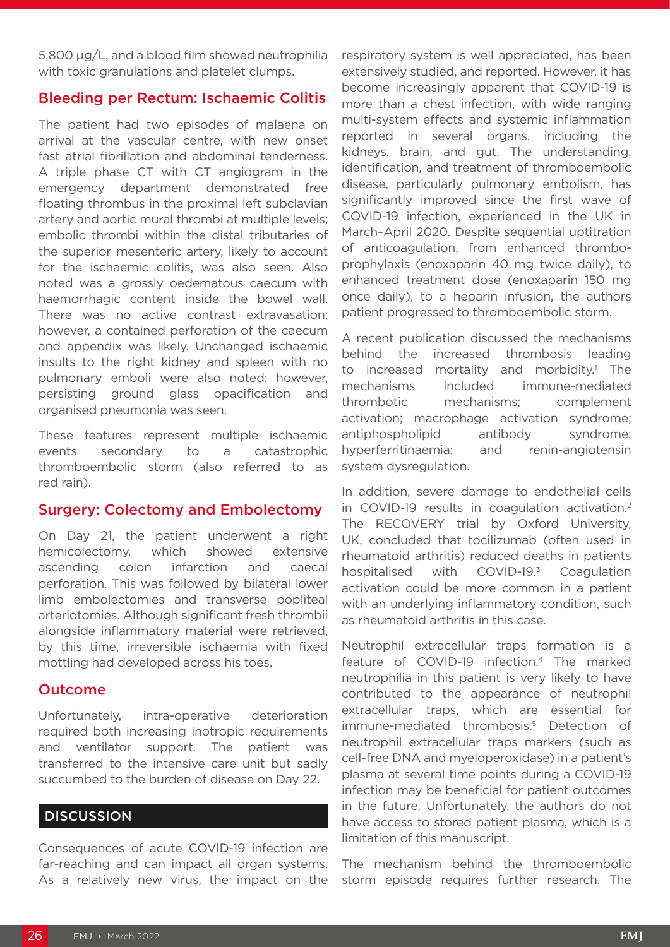5,800 μg/L, and a blood film showed neutrophilia with toxic granulations and platelet clumps.

#### Bleeding per Rectum: Ischaemic Colitis

The patient had two episodes of malaena on arrival at the vascular centre, with new onset fast atrial fibrillation and abdominal tenderness. A triple phase CT with CT angiogram in the emergency department demonstrated free floating thrombus in the proximal left subclavian artery and aortic mural thrombi at multiple levels; embolic thrombi within the distal tributaries of the superior mesenteric artery, likely to account for the ischaemic colitis, was also seen. Also noted was a grossly oedematous caecum with haemorrhagic content inside the bowel wall. There was no active contrast extravasation; however, a contained perforation of the caecum and appendix was likely. Unchanged ischaemic insults to the right kidney and spleen with no pulmonary emboli were also noted; however, persisting ground glass opacification and organised pneumonia was seen.

These features represent multiple ischaemic events secondary to a catastrophic thromboembolic storm (also referred to as red rain).

#### Surgery: Colectomy and Embolectomy

On Day 21, the patient underwent a right hemicolectomy, which showed extensive ascending colon infarction and caecal perforation. This was followed by bilateral lower limb embolectomies and transverse popliteal arteriotomies. Although significant fresh thrombii alongside inflammatory material were retrieved, by this time, irreversible ischaemia with fixed mottling had developed across his toes.

#### Outcome

Unfortunately, intra-operative deterioration required both increasing inotropic requirements and ventilator support. The patient was transferred to the intensive care unit but sadly succumbed to the burden of disease on Day 22.

#### **DISCUSSION**

Consequences of acute COVID-19 infection are far-reaching and can impact all organ systems. As a relatively new virus, the impact on the respiratory system is well appreciated, has been extensively studied, and reported. However, it has become increasingly apparent that COVID-19 is more than a chest infection, with wide ranging multi-system effects and systemic inflammation reported in several organs, including the kidneys, brain, and gut. The understanding, identification, and treatment of thromboembolic disease, particularly pulmonary embolism, has significantly improved since the first wave of COVID-19 infection, experienced in the UK in March–April 2020. Despite sequential uptitration of anticoagulation, from enhanced thromboprophylaxis (enoxaparin 40 mg twice daily), to enhanced treatment dose (enoxaparin 150 mg once daily), to a heparin infusion, the authors patient progressed to thromboembolic storm.

A recent publication discussed the mechanisms behind the increased thrombosis leading to increased mortality and morbidity.<sup>1</sup> The mechanisms included immune-mediated thrombotic mechanisms; complement activation; macrophage activation syndrome; antiphospholipid antibody syndrome; hyperferritinaemia; and renin-angiotensin system dysregulation.

In addition, severe damage to endothelial cells in COVID-19 results in coagulation activation.<sup>2</sup> The RECOVERY trial by Oxford University, UK, concluded that tocilizumab (often used in rheumatoid arthritis) reduced deaths in patients hospitalised with COVID-19.<sup>3</sup> Coagulation activation could be more common in a patient with an underlying inflammatory condition, such as rheumatoid arthritis in this case.

Neutrophil extracellular traps formation is a feature of COVID-19 infection.4 The marked neutrophilia in this patient is very likely to have contributed to the appearance of neutrophil extracellular traps, which are essential for immune-mediated thrombosis.<sup>5</sup> Detection of neutrophil extracellular traps markers (such as cell-free DNA and myeloperoxidase) in a patient's plasma at several time points during a COVID-19 infection may be beneficial for patient outcomes in the future. Unfortunately, the authors do not have access to stored patient plasma, which is a limitation of this manuscript.

The mechanism behind the thromboembolic storm episode requires further research. The